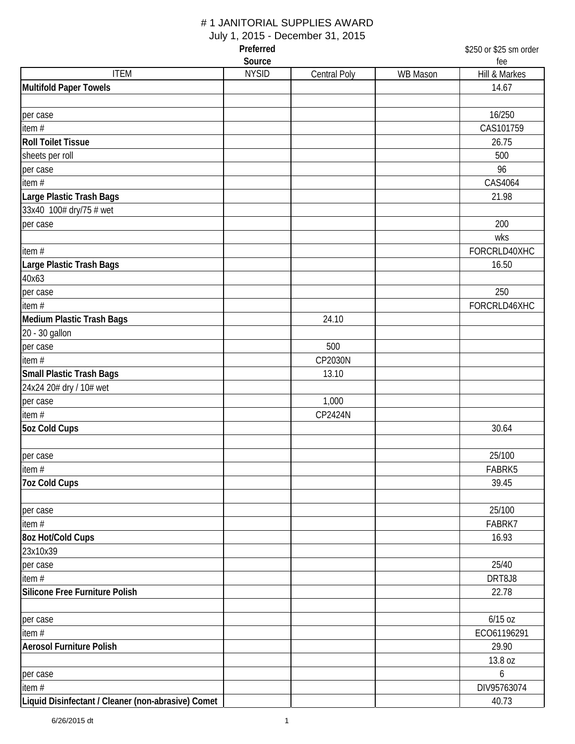# # 1 JANITORIAL SUPPLIES AWARD

July 1, 2015 - December 31, 2015

| Preferred                                          |              |                     | \$250 or \$25 sm order |               |
|----------------------------------------------------|--------------|---------------------|------------------------|---------------|
|                                                    | Source       |                     |                        | fee           |
| <b>ITEM</b>                                        | <b>NYSID</b> | <b>Central Poly</b> | WB Mason               | Hill & Markes |
| <b>Multifold Paper Towels</b>                      |              |                     |                        | 14.67         |
| per case                                           |              |                     |                        | 16/250        |
| item $#$                                           |              |                     |                        | CAS101759     |
| <b>Roll Toilet Tissue</b>                          |              |                     |                        | 26.75         |
| sheets per roll                                    |              |                     |                        | 500           |
| per case                                           |              |                     |                        | 96            |
| item $#$                                           |              |                     |                        | CAS4064       |
| Large Plastic Trash Bags                           |              |                     |                        | 21.98         |
| 33x40 100# dry/75 # wet                            |              |                     |                        |               |
| per case                                           |              |                     |                        | 200           |
|                                                    |              |                     |                        | wks           |
| item #                                             |              |                     |                        | FORCRLD40XHC  |
| Large Plastic Trash Bags                           |              |                     |                        | 16.50         |
| 40x63                                              |              |                     |                        |               |
| per case                                           |              |                     |                        | 250           |
| item $#$                                           |              |                     |                        | FORCRLD46XHC  |
| Medium Plastic Trash Bags                          |              | 24.10               |                        |               |
| 20 - 30 gallon                                     |              |                     |                        |               |
| per case                                           |              | 500                 |                        |               |
| item $#$                                           |              | CP2030N             |                        |               |
| <b>Small Plastic Trash Bags</b>                    |              | 13.10               |                        |               |
| 24x24 20# dry / 10# wet                            |              |                     |                        |               |
| per case                                           |              | 1,000               |                        |               |
| item #                                             |              | CP2424N             |                        |               |
| <b>5oz Cold Cups</b>                               |              |                     |                        | 30.64         |
|                                                    |              |                     |                        |               |
| per case                                           |              |                     |                        | 25/100        |
| item#                                              |              |                     |                        | FABRK5        |
| <b>7oz Cold Cups</b>                               |              |                     |                        | 39.45         |
|                                                    |              |                     |                        |               |
| per case                                           |              |                     |                        | 25/100        |
| item #                                             |              |                     |                        | FABRK7        |
| 8oz Hot/Cold Cups                                  |              |                     |                        | 16.93         |
| 23x10x39                                           |              |                     |                        |               |
| per case                                           |              |                     |                        | 25/40         |
| item #                                             |              |                     |                        | DRT8J8        |
| Silicone Free Furniture Polish                     |              |                     |                        | 22.78         |
|                                                    |              |                     |                        |               |
| per case                                           |              |                     |                        | $6/15$ oz     |
| item #                                             |              |                     |                        | ECO61196291   |
| <b>Aerosol Furniture Polish</b>                    |              |                     |                        | 29.90         |
|                                                    |              |                     |                        | 13.8 oz       |
| per case                                           |              |                     |                        | 6             |
| item #                                             |              |                     |                        | DIV95763074   |
| Liquid Disinfectant / Cleaner (non-abrasive) Comet |              |                     |                        | 40.73         |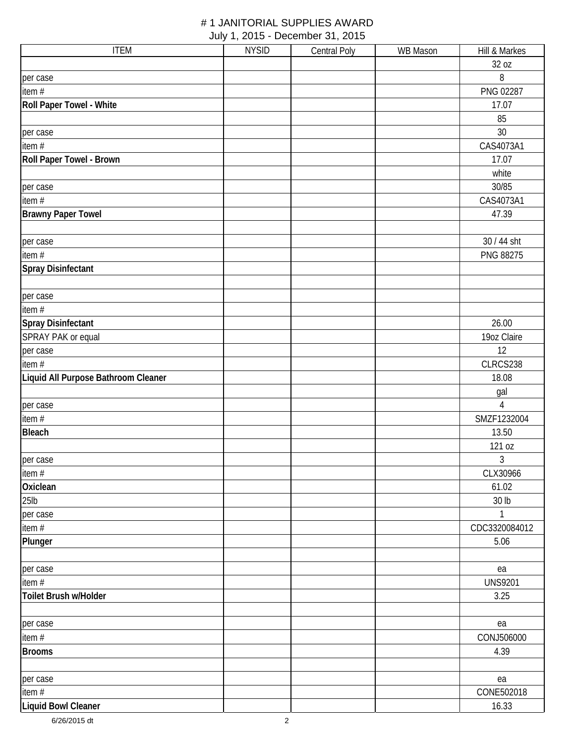| <b>ITEM</b>                         | <b>NYSID</b> | Central Poly | WB Mason | Hill & Markes  |
|-------------------------------------|--------------|--------------|----------|----------------|
|                                     |              |              |          | 32 oz          |
| per case                            |              |              |          | 8              |
| item $#$                            |              |              |          | PNG 02287      |
| Roll Paper Towel - White            |              |              |          | 17.07          |
|                                     |              |              |          | 85             |
| per case                            |              |              |          | 30             |
| item #                              |              |              |          | CAS4073A1      |
| Roll Paper Towel - Brown            |              |              |          | 17.07          |
|                                     |              |              |          | white          |
| per case                            |              |              |          | 30/85          |
| item #                              |              |              |          | CAS4073A1      |
| <b>Brawny Paper Towel</b>           |              |              |          | 47.39          |
| per case                            |              |              |          | 30 / 44 sht    |
| item #                              |              |              |          | PNG 88275      |
| <b>Spray Disinfectant</b>           |              |              |          |                |
| per case                            |              |              |          |                |
| item #                              |              |              |          |                |
| <b>Spray Disinfectant</b>           |              |              |          | 26.00          |
| SPRAY PAK or equal                  |              |              |          | 19oz Claire    |
| per case                            |              |              |          | 12             |
| item #                              |              |              |          | CLRCS238       |
| Liquid All Purpose Bathroom Cleaner |              |              |          | 18.08          |
|                                     |              |              |          | gal            |
| per case                            |              |              |          | $\overline{4}$ |
| item #                              |              |              |          | SMZF1232004    |
| <b>Bleach</b>                       |              |              |          | 13.50          |
|                                     |              |              |          | 121 oz         |
| per case                            |              |              |          | $\mathfrak{Z}$ |
| item #                              |              |              |          | CLX30966       |
| Oxiclean                            |              |              |          | 61.02          |
| $25$ lb                             |              |              |          | 30 lb          |
| per case                            |              |              |          | $\mathbf{1}$   |
| item #                              |              |              |          | CDC3320084012  |
| Plunger                             |              |              |          | 5.06           |
| per case                            |              |              |          | ea             |
| item#                               |              |              |          | <b>UNS9201</b> |
| Toilet Brush w/Holder               |              |              |          | 3.25           |
| per case                            |              |              |          | ea             |
| item #                              |              |              |          | CONJ506000     |
| <b>Brooms</b>                       |              |              |          | 4.39           |
| per case                            |              |              |          | ea             |
| item #                              |              |              |          | CONE502018     |
| <b>Liquid Bowl Cleaner</b>          |              |              |          | 16.33          |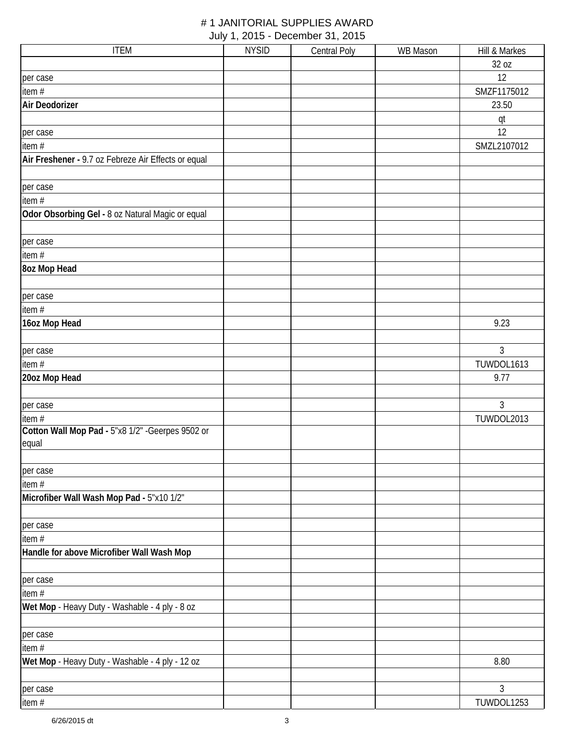| <b>ITEM</b>                                         | <b>NYSID</b> | <b>Central Poly</b> | <b>WB Mason</b> | Hill & Markes  |
|-----------------------------------------------------|--------------|---------------------|-----------------|----------------|
|                                                     |              |                     |                 | 32 oz          |
| per case                                            |              |                     |                 | 12             |
| item #                                              |              |                     |                 | SMZF1175012    |
| Air Deodorizer                                      |              |                     |                 | 23.50          |
|                                                     |              |                     |                 | qt             |
| per case                                            |              |                     |                 | 12             |
| item#                                               |              |                     |                 | SMZL2107012    |
| Air Freshener - 9.7 oz Febreze Air Effects or equal |              |                     |                 |                |
|                                                     |              |                     |                 |                |
| per case                                            |              |                     |                 |                |
| item #                                              |              |                     |                 |                |
| Odor Obsorbing Gel - 8 oz Natural Magic or equal    |              |                     |                 |                |
|                                                     |              |                     |                 |                |
| per case                                            |              |                     |                 |                |
| item #                                              |              |                     |                 |                |
| 8oz Mop Head                                        |              |                     |                 |                |
|                                                     |              |                     |                 |                |
| per case                                            |              |                     |                 |                |
| item #                                              |              |                     |                 |                |
| 16oz Mop Head                                       |              |                     |                 | 9.23           |
|                                                     |              |                     |                 |                |
| per case                                            |              |                     |                 | 3              |
| item #                                              |              |                     |                 | TUWDOL1613     |
| 20oz Mop Head                                       |              |                     |                 | 9.77           |
|                                                     |              |                     |                 |                |
| per case                                            |              |                     |                 | $\mathfrak{Z}$ |
| item#                                               |              |                     |                 | TUWDOL2013     |
| Cotton Wall Mop Pad - 5"x8 1/2" - Geerpes 9502 or   |              |                     |                 |                |
| equal                                               |              |                     |                 |                |
|                                                     |              |                     |                 |                |
| per case                                            |              |                     |                 |                |
| item #                                              |              |                     |                 |                |
| Microfiber Wall Wash Mop Pad - 5"x10 1/2"           |              |                     |                 |                |
|                                                     |              |                     |                 |                |
| per case                                            |              |                     |                 |                |
| item#                                               |              |                     |                 |                |
| Handle for above Microfiber Wall Wash Mop           |              |                     |                 |                |
|                                                     |              |                     |                 |                |
| per case<br>item#                                   |              |                     |                 |                |
|                                                     |              |                     |                 |                |
| Wet Mop - Heavy Duty - Washable - 4 ply - 8 oz      |              |                     |                 |                |
| per case                                            |              |                     |                 |                |
| item#                                               |              |                     |                 |                |
| Wet Mop - Heavy Duty - Washable - 4 ply - 12 oz     |              |                     |                 | 8.80           |
|                                                     |              |                     |                 |                |
| per case                                            |              |                     |                 | $\mathfrak{Z}$ |
| item #                                              |              |                     |                 | TUWDOL1253     |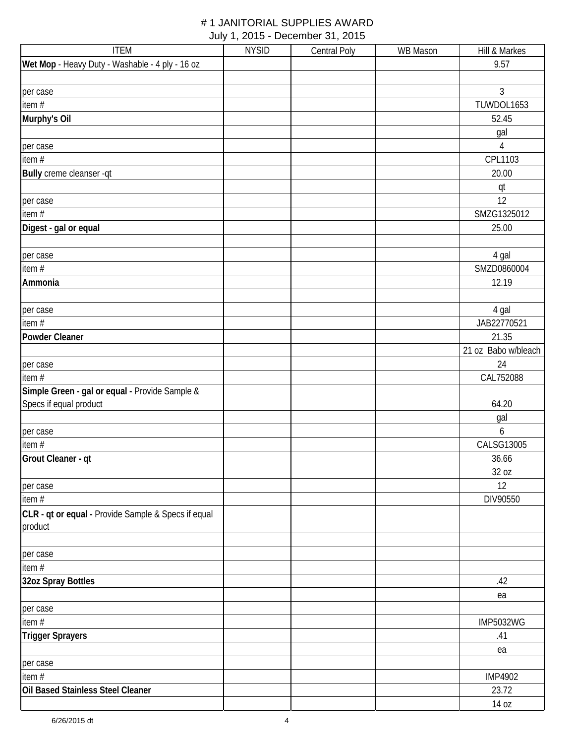| <b>ITEM</b>                                         | <b>NYSID</b> | <b>Central Poly</b> | WB Mason | Hill & Markes       |
|-----------------------------------------------------|--------------|---------------------|----------|---------------------|
| Wet Mop - Heavy Duty - Washable - 4 ply - 16 oz     |              |                     |          | 9.57                |
|                                                     |              |                     |          |                     |
| per case                                            |              |                     |          | 3                   |
| item $#$                                            |              |                     |          | TUWDOL1653          |
| Murphy's Oil                                        |              |                     |          | 52.45               |
|                                                     |              |                     |          | gal                 |
| per case                                            |              |                     |          | $\overline{4}$      |
| item $#$                                            |              |                     |          | CPL1103             |
| Bully creme cleanser -qt                            |              |                     |          | 20.00               |
|                                                     |              |                     |          | qt                  |
| per case                                            |              |                     |          | 12                  |
| item #                                              |              |                     |          | SMZG1325012         |
| Digest - gal or equal                               |              |                     |          | 25.00               |
|                                                     |              |                     |          |                     |
| per case                                            |              |                     |          | 4 gal               |
| item #                                              |              |                     |          | SMZD0860004         |
| Ammonia                                             |              |                     |          | 12.19               |
|                                                     |              |                     |          |                     |
| per case                                            |              |                     |          | 4 gal               |
| item $#$                                            |              |                     |          | JAB22770521         |
| <b>Powder Cleaner</b>                               |              |                     |          | 21.35               |
|                                                     |              |                     |          | 21 oz Babo w/bleach |
| per case                                            |              |                     |          | 24                  |
| item #                                              |              |                     |          | CAL752088           |
| Simple Green - gal or equal - Provide Sample &      |              |                     |          |                     |
| Specs if equal product                              |              |                     |          | 64.20               |
|                                                     |              |                     |          | gal                 |
| per case                                            |              |                     |          | 6                   |
| item #                                              |              |                     |          | CALSG13005          |
| Grout Cleaner - qt                                  |              |                     |          | 36.66               |
|                                                     |              |                     |          | 32 oz               |
| per case                                            |              |                     |          | 12                  |
| item #                                              |              |                     |          | DIV90550            |
| CLR - qt or equal - Provide Sample & Specs if equal |              |                     |          |                     |
| product                                             |              |                     |          |                     |
|                                                     |              |                     |          |                     |
| per case                                            |              |                     |          |                     |
| item #                                              |              |                     |          |                     |
| 32oz Spray Bottles                                  |              |                     |          | .42                 |
|                                                     |              |                     |          | ea                  |
| per case                                            |              |                     |          |                     |
| item #                                              |              |                     |          | <b>IMP5032WG</b>    |
| <b>Trigger Sprayers</b>                             |              |                     |          | .41                 |
|                                                     |              |                     |          | ea                  |
| per case                                            |              |                     |          |                     |
| item $#$                                            |              |                     |          | <b>IMP4902</b>      |
| Oil Based Stainless Steel Cleaner                   |              |                     |          | 23.72               |
|                                                     |              |                     |          | 14 oz               |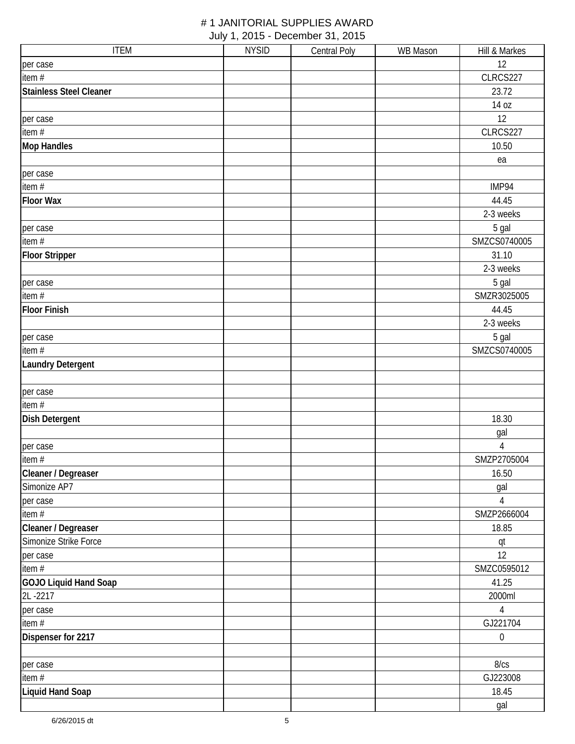| <b>ITEM</b>                    | <b>NYSID</b> | <b>Central Poly</b> | <b>WB Mason</b> | Hill & Markes    |
|--------------------------------|--------------|---------------------|-----------------|------------------|
| per case                       |              |                     |                 | 12               |
| item #                         |              |                     |                 | CLRCS227         |
| <b>Stainless Steel Cleaner</b> |              |                     |                 | 23.72            |
|                                |              |                     |                 | 14 oz            |
| per case                       |              |                     |                 | 12               |
| item #                         |              |                     |                 | CLRCS227         |
| <b>Mop Handles</b>             |              |                     |                 | 10.50            |
|                                |              |                     |                 | ea               |
| per case                       |              |                     |                 |                  |
| item #                         |              |                     |                 | IMP94            |
| <b>Floor Wax</b>               |              |                     |                 | 44.45            |
|                                |              |                     |                 | 2-3 weeks        |
| per case                       |              |                     |                 | 5 gal            |
| item $#$                       |              |                     |                 | SMZCS0740005     |
| <b>Floor Stripper</b>          |              |                     |                 | 31.10            |
|                                |              |                     |                 | 2-3 weeks        |
| per case                       |              |                     |                 | 5 gal            |
| item $#$                       |              |                     |                 | SMZR3025005      |
| <b>Floor Finish</b>            |              |                     |                 | 44.45            |
|                                |              |                     |                 | 2-3 weeks        |
| per case                       |              |                     |                 | 5 gal            |
| item $#$                       |              |                     |                 | SMZCS0740005     |
| <b>Laundry Detergent</b>       |              |                     |                 |                  |
|                                |              |                     |                 |                  |
| per case                       |              |                     |                 |                  |
| item #                         |              |                     |                 |                  |
| <b>Dish Detergent</b>          |              |                     |                 | 18.30            |
|                                |              |                     |                 | gal              |
| per case                       |              |                     |                 | $\sqrt{4}$       |
| item $#$                       |              |                     |                 | SMZP2705004      |
| Cleaner / Degreaser            |              |                     |                 | 16.50            |
| Simonize AP7                   |              |                     |                 | gal              |
| per case                       |              |                     |                 | 4                |
| item#                          |              |                     |                 | SMZP2666004      |
| Cleaner / Degreaser            |              |                     |                 | 18.85            |
| Simonize Strike Force          |              |                     |                 | qt               |
| per case                       |              |                     |                 | 12               |
| item#                          |              |                     |                 | SMZC0595012      |
| GOJO Liquid Hand Soap          |              |                     |                 | 41.25            |
| 2L-2217                        |              |                     |                 | 2000ml           |
| per case                       |              |                     |                 | $\overline{4}$   |
| item #                         |              |                     |                 | GJ221704         |
| Dispenser for 2217             |              |                     |                 | $\boldsymbol{0}$ |
|                                |              |                     |                 |                  |
| per case                       |              |                     |                 | 8/cs             |
| item #                         |              |                     |                 | GJ223008         |
| <b>Liquid Hand Soap</b>        |              |                     |                 | 18.45            |
|                                |              |                     |                 | gal              |
|                                |              |                     |                 |                  |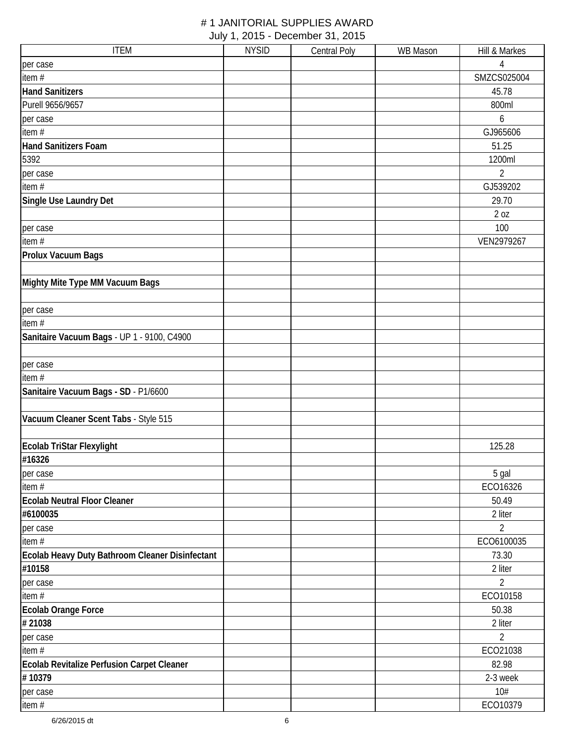| <b>ITEM</b>                                     | <b>NYSID</b> | Central Poly | <b>WB Mason</b> | Hill & Markes  |
|-------------------------------------------------|--------------|--------------|-----------------|----------------|
| per case                                        |              |              |                 | 4              |
| item#                                           |              |              |                 | SMZCS025004    |
| <b>Hand Sanitizers</b>                          |              |              |                 | 45.78          |
| Purell 9656/9657                                |              |              |                 | 800ml          |
| per case                                        |              |              |                 | 6              |
| item#                                           |              |              |                 | GJ965606       |
| <b>Hand Sanitizers Foam</b>                     |              |              |                 | 51.25          |
| 5392                                            |              |              |                 | 1200ml         |
| per case                                        |              |              |                 | $\overline{2}$ |
| item#                                           |              |              |                 | GJ539202       |
| Single Use Laundry Det                          |              |              |                 | 29.70          |
|                                                 |              |              |                 | 2 oz           |
| per case                                        |              |              |                 | 100            |
| item $#$                                        |              |              |                 | VEN2979267     |
| Prolux Vacuum Bags                              |              |              |                 |                |
|                                                 |              |              |                 |                |
| Mighty Mite Type MM Vacuum Bags                 |              |              |                 |                |
|                                                 |              |              |                 |                |
| per case                                        |              |              |                 |                |
| item#                                           |              |              |                 |                |
| Sanitaire Vacuum Bags - UP 1 - 9100, C4900      |              |              |                 |                |
|                                                 |              |              |                 |                |
| per case                                        |              |              |                 |                |
| item #                                          |              |              |                 |                |
| Sanitaire Vacuum Bags - SD - P1/6600            |              |              |                 |                |
|                                                 |              |              |                 |                |
| Vacuum Cleaner Scent Tabs - Style 515           |              |              |                 |                |
|                                                 |              |              |                 |                |
| Ecolab TriStar Flexylight                       |              |              |                 | 125.28         |
| #16326                                          |              |              |                 |                |
| per case                                        |              |              |                 | 5 gal          |
| item $#$                                        |              |              |                 | ECO16326       |
| <b>Ecolab Neutral Floor Cleaner</b>             |              |              |                 | 50.49          |
| #6100035                                        |              |              |                 | 2 liter        |
| per case                                        |              |              |                 | $\overline{2}$ |
| item $#$                                        |              |              |                 | ECO6100035     |
| Ecolab Heavy Duty Bathroom Cleaner Disinfectant |              |              |                 | 73.30          |
| #10158                                          |              |              |                 | 2 liter        |
| per case                                        |              |              |                 | $\overline{2}$ |
| item#                                           |              |              |                 | ECO10158       |
| Ecolab Orange Force                             |              |              |                 | 50.38          |
| #21038                                          |              |              |                 | 2 liter        |
| per case                                        |              |              |                 | $\overline{2}$ |
| item#                                           |              |              |                 | ECO21038       |
| Ecolab Revitalize Perfusion Carpet Cleaner      |              |              |                 | 82.98          |
| #10379                                          |              |              |                 | 2-3 week       |
| per case                                        |              |              |                 | 10#            |
| item#                                           |              |              |                 | ECO10379       |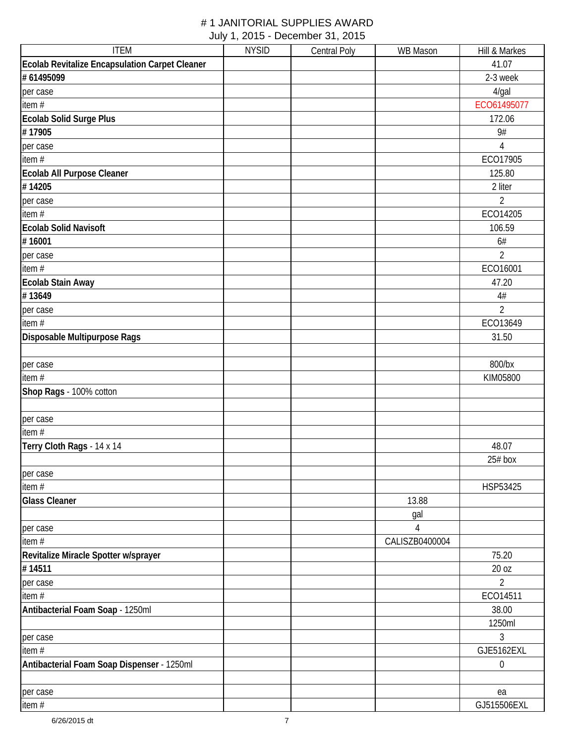| <b>ITEM</b>                                    | <b>NYSID</b> | <b>Central Poly</b> | <b>WB</b> Mason | Hill & Markes  |
|------------------------------------------------|--------------|---------------------|-----------------|----------------|
| Ecolab Revitalize Encapsulation Carpet Cleaner |              |                     |                 | 41.07          |
| #61495099                                      |              |                     |                 | 2-3 week       |
| per case                                       |              |                     |                 | $4$ /gal       |
| item #                                         |              |                     |                 | ECO61495077    |
| Ecolab Solid Surge Plus                        |              |                     |                 | 172.06         |
| #17905                                         |              |                     |                 | 9#             |
| per case                                       |              |                     |                 | $\sqrt{4}$     |
| item $#$                                       |              |                     |                 | ECO17905       |
| Ecolab All Purpose Cleaner                     |              |                     |                 | 125.80         |
| #14205                                         |              |                     |                 | 2 liter        |
| per case                                       |              |                     |                 | $\overline{2}$ |
| item#                                          |              |                     |                 | ECO14205       |
| <b>Ecolab Solid Navisoft</b>                   |              |                     |                 | 106.59         |
| #16001                                         |              |                     |                 | 6#             |
| per case                                       |              |                     |                 | $\overline{2}$ |
| item#                                          |              |                     |                 | ECO16001       |
| Ecolab Stain Away                              |              |                     |                 | 47.20          |
| #13649                                         |              |                     |                 | $4\#$          |
| per case                                       |              |                     |                 | $\overline{2}$ |
| item #                                         |              |                     |                 | ECO13649       |
| Disposable Multipurpose Rags                   |              |                     |                 | 31.50          |
|                                                |              |                     |                 |                |
| per case                                       |              |                     |                 | 800/bx         |
| item $#$                                       |              |                     |                 | KIM05800       |
| Shop Rags - 100% cotton                        |              |                     |                 |                |
|                                                |              |                     |                 |                |
| per case                                       |              |                     |                 |                |
| item $#$                                       |              |                     |                 |                |
| Terry Cloth Rags - 14 x 14                     |              |                     |                 | 48.07          |
|                                                |              |                     |                 | $25#$ box      |
| per case                                       |              |                     |                 |                |
| item #                                         |              |                     |                 | HSP53425       |
| <b>Glass Cleaner</b>                           |              |                     | 13.88           |                |
|                                                |              |                     | gal             |                |
| per case                                       |              |                     | 4               |                |
| item #                                         |              |                     | CALISZB0400004  |                |
| Revitalize Miracle Spotter w/sprayer           |              |                     |                 | 75.20          |
| #14511                                         |              |                     |                 | 20 oz          |
| per case                                       |              |                     |                 | $\overline{2}$ |
| item #                                         |              |                     |                 | ECO14511       |
| Antibacterial Foam Soap - 1250ml               |              |                     |                 | 38.00          |
|                                                |              |                     |                 | 1250ml         |
| per case                                       |              |                     |                 | 3              |
| item#                                          |              |                     |                 | GJE5162EXL     |
| Antibacterial Foam Soap Dispenser - 1250ml     |              |                     |                 | 0              |
|                                                |              |                     |                 |                |
| per case                                       |              |                     |                 | ea             |
| item #                                         |              |                     |                 | GJ515506EXL    |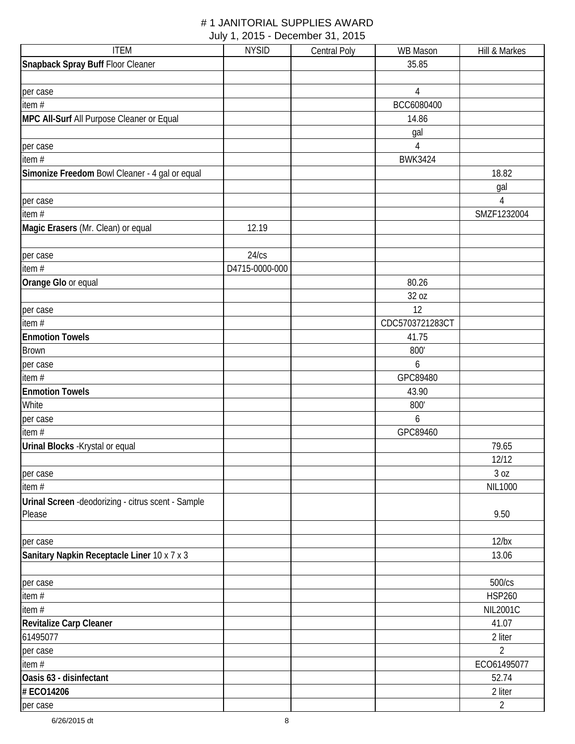| <b>ITEM</b>                                         | <b>NYSID</b>   | <b>Central Poly</b> | WB Mason        | Hill & Markes   |
|-----------------------------------------------------|----------------|---------------------|-----------------|-----------------|
| Snapback Spray Buff Floor Cleaner                   |                |                     | 35.85           |                 |
|                                                     |                |                     |                 |                 |
| per case                                            |                |                     | $\overline{4}$  |                 |
| item $#$                                            |                |                     | BCC6080400      |                 |
| MPC All-Surf All Purpose Cleaner or Equal           |                |                     | 14.86           |                 |
|                                                     |                |                     | gal             |                 |
| per case                                            |                |                     | $\overline{4}$  |                 |
| item#                                               |                |                     | <b>BWK3424</b>  |                 |
| Simonize Freedom Bowl Cleaner - 4 gal or equal      |                |                     |                 | 18.82           |
|                                                     |                |                     |                 | gal             |
| per case                                            |                |                     |                 | 4               |
| item#                                               |                |                     |                 | SMZF1232004     |
| Magic Erasers (Mr. Clean) or equal                  | 12.19          |                     |                 |                 |
|                                                     |                |                     |                 |                 |
| per case                                            | 24/cs          |                     |                 |                 |
| item $#$                                            | D4715-0000-000 |                     |                 |                 |
| Orange Glo or equal                                 |                |                     | 80.26           |                 |
|                                                     |                |                     | 32 oz           |                 |
| per case                                            |                |                     | 12              |                 |
| item#                                               |                |                     | CDC5703721283CT |                 |
| <b>Enmotion Towels</b>                              |                |                     | 41.75           |                 |
| <b>Brown</b>                                        |                |                     | 800             |                 |
| per case                                            |                |                     | 6               |                 |
| item $#$                                            |                |                     | GPC89480        |                 |
| <b>Enmotion Towels</b>                              |                |                     | 43.90           |                 |
| White                                               |                |                     | 800'            |                 |
| per case                                            |                |                     | 6               |                 |
| item $#$                                            |                |                     | GPC89460        |                 |
| Urinal Blocks - Krystal or equal                    |                |                     |                 | 79.65           |
|                                                     |                |                     |                 | 12/12           |
| per case                                            |                |                     |                 | 3 oz            |
| item #                                              |                |                     |                 | NIL1000         |
| Urinal Screen - deodorizing - citrus scent - Sample |                |                     |                 |                 |
| Please                                              |                |                     |                 | 9.50            |
|                                                     |                |                     |                 |                 |
| per case                                            |                |                     |                 | $12$ /bx        |
| Sanitary Napkin Receptacle Liner 10 x 7 x 3         |                |                     |                 | 13.06           |
|                                                     |                |                     |                 |                 |
| per case                                            |                |                     |                 | 500/cs          |
| item#                                               |                |                     |                 | <b>HSP260</b>   |
| item #                                              |                |                     |                 | <b>NIL2001C</b> |
| Revitalize Carp Cleaner                             |                |                     |                 | 41.07           |
| 61495077                                            |                |                     |                 | 2 liter         |
| per case                                            |                |                     |                 | $\overline{2}$  |
| item#                                               |                |                     |                 | ECO61495077     |
| Oasis 63 - disinfectant                             |                |                     |                 | 52.74           |
| # ECO14206                                          |                |                     |                 | 2 liter         |
| per case                                            |                |                     |                 | $\overline{2}$  |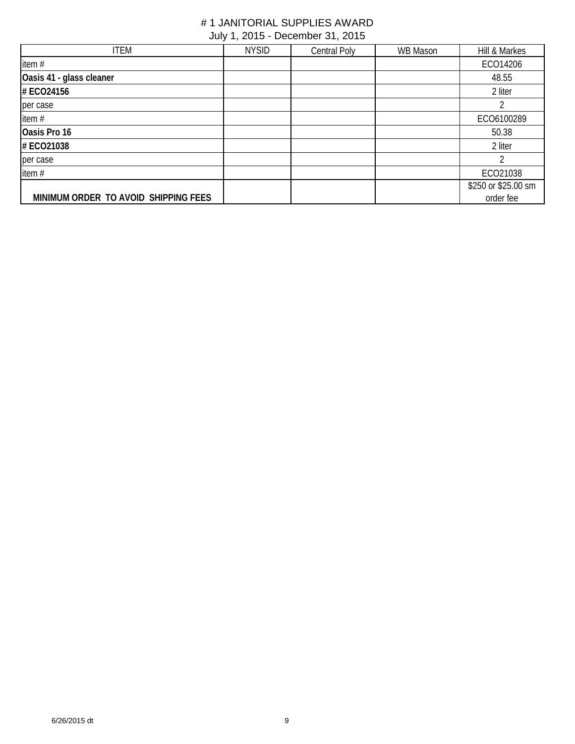| <b>ITEM</b>                          | <b>NYSID</b> | Central Poly | WB Mason | Hill & Markes       |
|--------------------------------------|--------------|--------------|----------|---------------------|
| item #                               |              |              |          | ECO14206            |
| Oasis 41 - glass cleaner             |              |              |          | 48.55               |
| # ECO24156                           |              |              |          | 2 liter             |
| per case                             |              |              |          |                     |
| item#                                |              |              |          | ECO6100289          |
| Oasis Pro 16                         |              |              |          | 50.38               |
| # ECO21038                           |              |              |          | 2 liter             |
| per case                             |              |              |          |                     |
| item $#$                             |              |              |          | ECO21038            |
|                                      |              |              |          | \$250 or \$25.00 sm |
| MINIMUM ORDER TO AVOID SHIPPING FEES |              |              |          | order fee           |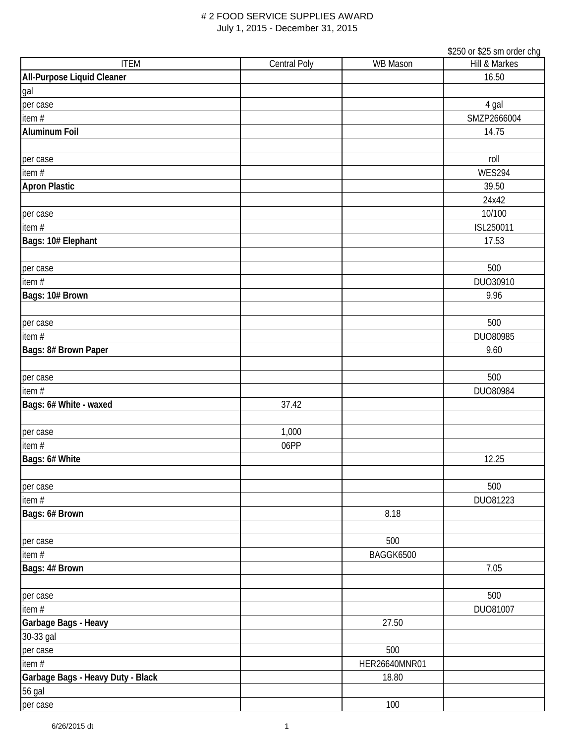|                                   |                     |                 | \$250 or \$25 sm order chg |
|-----------------------------------|---------------------|-----------------|----------------------------|
| <b>ITEM</b>                       | <b>Central Poly</b> | <b>WB Mason</b> | <b>Hill &amp; Markes</b>   |
| All-Purpose Liquid Cleaner        |                     |                 | 16.50                      |
| gal                               |                     |                 |                            |
| per case                          |                     |                 | 4 gal                      |
| item $#$                          |                     |                 | SMZP2666004                |
| <b>Aluminum Foil</b>              |                     |                 | 14.75                      |
|                                   |                     |                 |                            |
| per case                          |                     |                 | roll                       |
| item #                            |                     |                 | <b>WES294</b>              |
| <b>Apron Plastic</b>              |                     |                 | 39.50                      |
|                                   |                     |                 | 24x42                      |
| per case                          |                     |                 | 10/100                     |
| item#                             |                     |                 | ISL250011                  |
|                                   |                     |                 |                            |
| Bags: 10# Elephant                |                     |                 | 17.53                      |
|                                   |                     |                 |                            |
| per case                          |                     |                 | 500                        |
| item#                             |                     |                 | DUO30910                   |
| Bags: 10# Brown                   |                     |                 | 9.96                       |
|                                   |                     |                 |                            |
| per case                          |                     |                 | 500                        |
| item $#$                          |                     |                 | DUO80985                   |
| Bags: 8# Brown Paper              |                     |                 | 9.60                       |
|                                   |                     |                 |                            |
| per case                          |                     |                 | 500                        |
| item $#$                          |                     |                 | DUO80984                   |
| Bags: 6# White - waxed            | 37.42               |                 |                            |
|                                   |                     |                 |                            |
| per case                          | 1,000               |                 |                            |
| item#                             | 06PP                |                 |                            |
| Bags: 6# White                    |                     |                 | 12.25                      |
|                                   |                     |                 |                            |
| per case                          |                     |                 | 500                        |
| item#                             |                     |                 | DU081223                   |
| Bags: 6# Brown                    |                     | 8.18            |                            |
|                                   |                     |                 |                            |
| per case                          |                     | 500             |                            |
| item $#$                          |                     | BAGGK6500       |                            |
| Bags: 4# Brown                    |                     |                 | 7.05                       |
|                                   |                     |                 |                            |
|                                   |                     |                 | 500                        |
| per case                          |                     |                 |                            |
| item #                            |                     |                 | DU081007                   |
| Garbage Bags - Heavy              |                     | 27.50           |                            |
| 30-33 gal                         |                     |                 |                            |
| per case                          |                     | 500             |                            |
| item $#$                          |                     | HER26640MNR01   |                            |
| Garbage Bags - Heavy Duty - Black |                     | 18.80           |                            |
| 56 gal                            |                     |                 |                            |
| per case                          |                     | 100             |                            |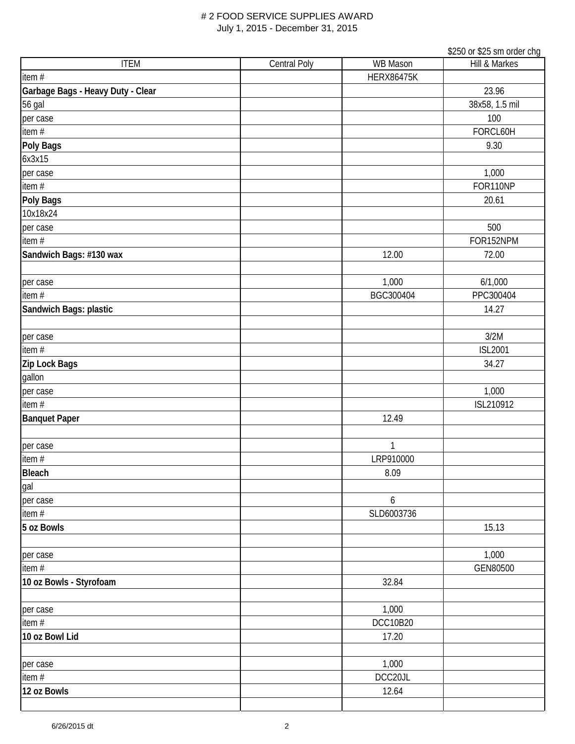|                                   |                     |                   | \$250 or \$25 sm order chg |
|-----------------------------------|---------------------|-------------------|----------------------------|
| <b>ITEM</b>                       | <b>Central Poly</b> | <b>WB Mason</b>   | Hill & Markes              |
| item #                            |                     | <b>HERX86475K</b> |                            |
| Garbage Bags - Heavy Duty - Clear |                     |                   | 23.96                      |
| 56 gal                            |                     |                   | 38x58, 1.5 mil             |
| per case                          |                     |                   | 100                        |
| item #                            |                     |                   | FORCL60H                   |
| Poly Bags                         |                     |                   | 9.30                       |
| 6x3x15                            |                     |                   |                            |
| per case                          |                     |                   | 1,000                      |
| item #                            |                     |                   | FOR110NP                   |
| Poly Bags                         |                     |                   | 20.61                      |
| 10x18x24                          |                     |                   |                            |
| per case                          |                     |                   | 500                        |
| item #                            |                     |                   | FOR152NPM                  |
| Sandwich Bags: #130 wax           |                     | 12.00             | 72.00                      |
| per case                          |                     | 1,000             | 6/1,000                    |
| item #                            |                     | BGC300404         | PPC300404                  |
| Sandwich Bags: plastic            |                     |                   | 14.27                      |
|                                   |                     |                   |                            |
| per case                          |                     |                   | 3/2M                       |
| item $#$                          |                     |                   | <b>ISL2001</b>             |
| Zip Lock Bags                     |                     |                   | 34.27                      |
| gallon                            |                     |                   |                            |
| per case                          |                     |                   | 1,000                      |
| item $#$                          |                     |                   | ISL210912                  |
| <b>Banquet Paper</b>              |                     | 12.49             |                            |
|                                   |                     |                   |                            |
| per case                          |                     | 1                 |                            |
| item#                             |                     | LRP910000         |                            |
| <b>Bleach</b>                     |                     | 8.09              |                            |
| gal                               |                     |                   |                            |
| per case                          |                     | 6                 |                            |
| item#                             |                     | SLD6003736        |                            |
| 5 oz Bowls                        |                     |                   | 15.13                      |
|                                   |                     |                   |                            |
| per case                          |                     |                   | 1,000                      |
| item#                             |                     |                   | GEN80500                   |
| 10 oz Bowls - Styrofoam           |                     | 32.84             |                            |
| per case                          |                     | 1,000             |                            |
| item #                            |                     | <b>DCC10B20</b>   |                            |
| 10 oz Bowl Lid                    |                     | 17.20             |                            |
|                                   |                     |                   |                            |
| per case                          |                     | 1,000             |                            |
| item#                             |                     | DCC20JL           |                            |
| 12 oz Bowls                       |                     | 12.64             |                            |
|                                   |                     |                   |                            |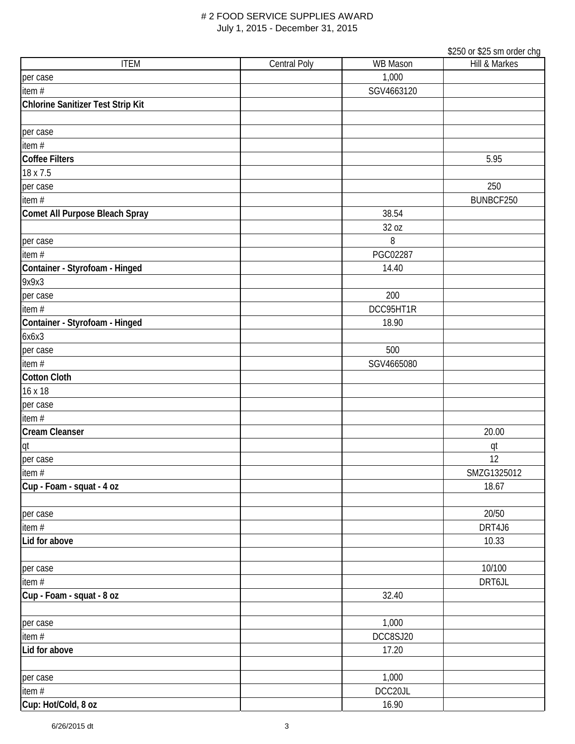|                                   |                     |                 | \$250 or \$25 sm order chg |
|-----------------------------------|---------------------|-----------------|----------------------------|
| <b>ITEM</b>                       | <b>Central Poly</b> | <b>WB Mason</b> | Hill & Markes              |
| per case                          |                     | 1,000           |                            |
| item $#$                          |                     | SGV4663120      |                            |
| Chlorine Sanitizer Test Strip Kit |                     |                 |                            |
|                                   |                     |                 |                            |
| per case                          |                     |                 |                            |
| item#                             |                     |                 |                            |
| <b>Coffee Filters</b>             |                     |                 | 5.95                       |
| 18 x 7.5                          |                     |                 |                            |
| per case                          |                     |                 | 250                        |
| item#                             |                     |                 | BUNBCF250                  |
| Comet All Purpose Bleach Spray    |                     | 38.54           |                            |
|                                   |                     | 32 oz           |                            |
| per case                          |                     | 8               |                            |
| item $#$                          |                     | PGC02287        |                            |
| Container - Styrofoam - Hinged    |                     | 14.40           |                            |
| 9x9x3                             |                     |                 |                            |
|                                   |                     |                 |                            |
| per case                          |                     | 200             |                            |
| item #                            |                     | DCC95HT1R       |                            |
| Container - Styrofoam - Hinged    |                     | 18.90           |                            |
| 6x6x3                             |                     |                 |                            |
| per case                          |                     | 500             |                            |
| item $#$                          |                     | SGV4665080      |                            |
| <b>Cotton Cloth</b>               |                     |                 |                            |
| 16 x 18                           |                     |                 |                            |
| per case                          |                     |                 |                            |
| item $#$                          |                     |                 |                            |
| <b>Cream Cleanser</b>             |                     |                 | 20.00                      |
| qt                                |                     |                 | qt                         |
| per case                          |                     |                 | 12                         |
| item #                            |                     |                 | SMZG1325012                |
| Cup - Foam - squat - 4 oz         |                     |                 | 18.67                      |
|                                   |                     |                 |                            |
| per case                          |                     |                 | 20/50                      |
| item#                             |                     |                 | DRT4J6                     |
| Lid for above                     |                     |                 | 10.33                      |
|                                   |                     |                 |                            |
| per case                          |                     |                 | 10/100                     |
| item #                            |                     |                 | DRT6JL                     |
| Cup - Foam - squat - 8 oz         |                     | 32.40           |                            |
|                                   |                     |                 |                            |
| per case                          |                     | 1,000           |                            |
| item#                             |                     | DCC8SJ20        |                            |
| Lid for above                     |                     | 17.20           |                            |
|                                   |                     |                 |                            |
| per case                          |                     | 1,000           |                            |
| item #                            |                     | DCC20JL         |                            |
| Cup: Hot/Cold, 8 oz               |                     | 16.90           |                            |
|                                   |                     |                 |                            |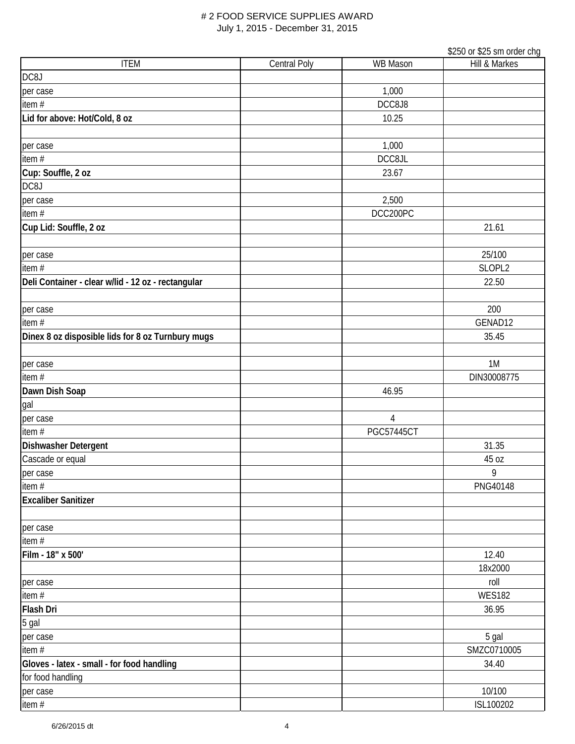|                                                    |              |                   | \$250 or \$25 sm order chg |
|----------------------------------------------------|--------------|-------------------|----------------------------|
| <b>ITEM</b>                                        | Central Poly | <b>WB Mason</b>   | Hill & Markes              |
| DC8J                                               |              |                   |                            |
| per case                                           |              | 1,000             |                            |
| item $#$                                           |              | DCC8J8            |                            |
| Lid for above: Hot/Cold, 8 oz                      |              | 10.25             |                            |
|                                                    |              |                   |                            |
| per case                                           |              | 1,000             |                            |
| item #                                             |              | DCC8JL            |                            |
| Cup: Souffle, 2 oz                                 |              | 23.67             |                            |
| DC8J                                               |              |                   |                            |
| per case                                           |              | 2,500             |                            |
| item#                                              |              | DCC200PC          |                            |
| Cup Lid: Souffle, 2 oz                             |              |                   | 21.61                      |
|                                                    |              |                   |                            |
| per case                                           |              |                   | 25/100                     |
| item $#$                                           |              |                   | SLOPL2                     |
| Deli Container - clear w/lid - 12 oz - rectangular |              |                   | 22.50                      |
|                                                    |              |                   |                            |
| per case                                           |              |                   | 200                        |
| item#                                              |              |                   | GENAD12                    |
| Dinex 8 oz disposible lids for 8 oz Turnbury mugs  |              |                   | 35.45                      |
|                                                    |              |                   |                            |
| per case                                           |              |                   | 1M                         |
| item#                                              |              |                   | DIN30008775                |
| Dawn Dish Soap                                     |              | 46.95             |                            |
| gal                                                |              |                   |                            |
| per case                                           |              | $\overline{4}$    |                            |
| item#                                              |              | <b>PGC57445CT</b> |                            |
| Dishwasher Detergent                               |              |                   | 31.35                      |
| Cascade or equal                                   |              |                   | 45 oz                      |
| per case                                           |              |                   | 9                          |
| item#                                              |              |                   | PNG40148                   |
| <b>Excaliber Sanitizer</b>                         |              |                   |                            |
|                                                    |              |                   |                            |
| per case                                           |              |                   |                            |
| item#                                              |              |                   |                            |
| Film - 18" x 500'                                  |              |                   | 12.40                      |
|                                                    |              |                   | 18x2000                    |
| per case                                           |              |                   | roll                       |
| item#                                              |              |                   | <b>WES182</b>              |
| <b>Flash Dri</b>                                   |              |                   | 36.95                      |
| 5 gal                                              |              |                   |                            |
| per case                                           |              |                   | 5 gal                      |
| item #                                             |              |                   | SMZC0710005                |
| Gloves - latex - small - for food handling         |              |                   | 34.40                      |
| for food handling                                  |              |                   |                            |
| per case                                           |              |                   | 10/100                     |
| item #                                             |              |                   | ISL100202                  |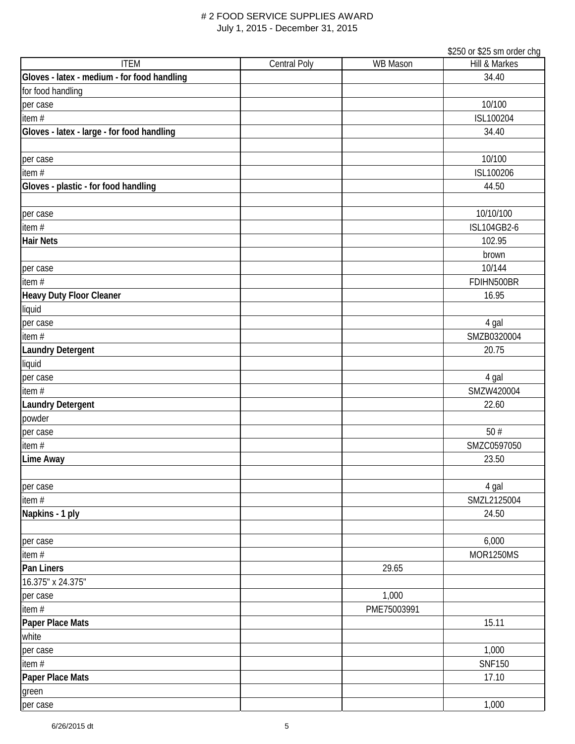|                                             |                     |                 | \$250 or \$25 sm order chg |
|---------------------------------------------|---------------------|-----------------|----------------------------|
| <b>ITEM</b>                                 | <b>Central Poly</b> | <b>WB Mason</b> | Hill & Markes              |
| Gloves - latex - medium - for food handling |                     |                 | 34.40                      |
| for food handling                           |                     |                 |                            |
| per case                                    |                     |                 | 10/100                     |
| item $#$                                    |                     |                 | ISL100204                  |
| Gloves - latex - large - for food handling  |                     |                 | 34.40                      |
|                                             |                     |                 |                            |
| per case                                    |                     |                 | 10/100                     |
| item $#$                                    |                     |                 | ISL100206                  |
| Gloves - plastic - for food handling        |                     |                 | 44.50                      |
|                                             |                     |                 |                            |
| per case                                    |                     |                 | 10/10/100                  |
| item#                                       |                     |                 | ISL104GB2-6                |
| <b>Hair Nets</b>                            |                     |                 | 102.95                     |
|                                             |                     |                 | brown                      |
| per case                                    |                     |                 | 10/144                     |
| item $#$                                    |                     |                 | FDIHN500BR                 |
| <b>Heavy Duty Floor Cleaner</b>             |                     |                 | 16.95                      |
| liquid                                      |                     |                 |                            |
| per case                                    |                     |                 | 4 gal                      |
| item #                                      |                     |                 | SMZB0320004                |
| <b>Laundry Detergent</b>                    |                     |                 | 20.75                      |
| liquid                                      |                     |                 |                            |
| per case                                    |                     |                 | 4 gal                      |
| item#                                       |                     |                 | SMZW420004                 |
| <b>Laundry Detergent</b>                    |                     |                 | 22.60                      |
| powder                                      |                     |                 |                            |
| per case                                    |                     |                 | 50#                        |
| item $#$                                    |                     |                 | SMZC0597050                |
| <b>Lime Away</b>                            |                     |                 | 23.50                      |
|                                             |                     |                 |                            |
| per case                                    |                     |                 | 4 gal                      |
| item #                                      |                     |                 | SMZL2125004                |
| Napkins - 1 ply                             |                     |                 | 24.50                      |
|                                             |                     |                 |                            |
| per case                                    |                     |                 | 6,000                      |
| item#                                       |                     |                 | <b>MOR1250MS</b>           |
| Pan Liners                                  |                     | 29.65           |                            |
| 16.375" x 24.375"                           |                     |                 |                            |
| per case                                    |                     | 1,000           |                            |
| item #                                      |                     | PME75003991     |                            |
| Paper Place Mats                            |                     |                 | 15.11                      |
| white                                       |                     |                 |                            |
| per case                                    |                     |                 | 1,000                      |
| item#                                       |                     |                 | <b>SNF150</b>              |
| Paper Place Mats                            |                     |                 |                            |
|                                             |                     |                 | 17.10                      |
| green                                       |                     |                 | 1,000                      |
| per case                                    |                     |                 |                            |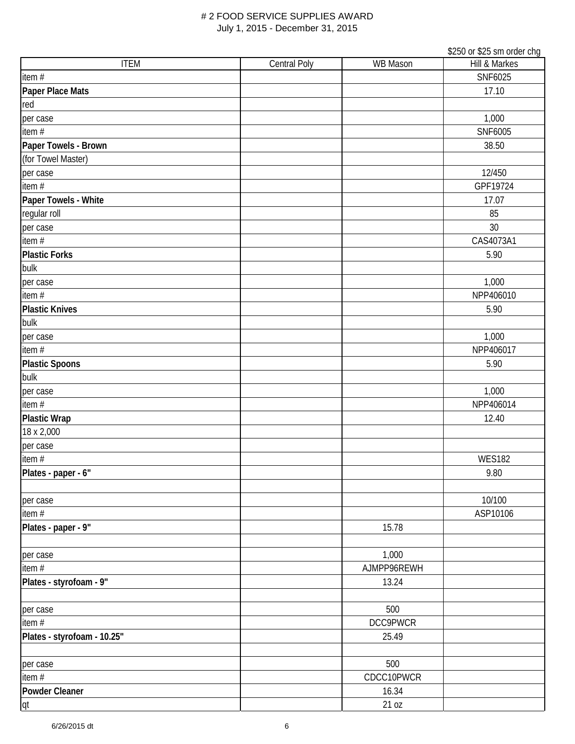|                             |                     |             | \$250 or \$25 sm order chg |
|-----------------------------|---------------------|-------------|----------------------------|
| <b>ITEM</b>                 | <b>Central Poly</b> | WB Mason    | Hill & Markes              |
| item $#$                    |                     |             | SNF6025                    |
| Paper Place Mats            |                     |             | 17.10                      |
| red                         |                     |             |                            |
| per case                    |                     |             | 1,000                      |
| item#                       |                     |             | SNF6005                    |
| Paper Towels - Brown        |                     |             | 38.50                      |
| (for Towel Master)          |                     |             |                            |
| per case                    |                     |             | 12/450                     |
| item #                      |                     |             | GPF19724                   |
| Paper Towels - White        |                     |             | 17.07                      |
| regular roll                |                     |             | 85                         |
| per case                    |                     |             | 30                         |
| item $#$                    |                     |             | CAS4073A1                  |
| <b>Plastic Forks</b>        |                     |             | 5.90                       |
| bulk                        |                     |             |                            |
| per case                    |                     |             | 1,000                      |
| item#                       |                     |             | NPP406010                  |
| <b>Plastic Knives</b>       |                     |             | 5.90                       |
| bulk                        |                     |             |                            |
| per case                    |                     |             | 1,000                      |
| item $#$                    |                     |             | NPP406017                  |
| <b>Plastic Spoons</b>       |                     |             | 5.90                       |
| bulk                        |                     |             |                            |
| per case                    |                     |             | 1,000                      |
| item $#$                    |                     |             | NPP406014                  |
| <b>Plastic Wrap</b>         |                     |             | 12.40                      |
| 18 x 2,000                  |                     |             |                            |
| per case                    |                     |             |                            |
| item $#$                    |                     |             | <b>WES182</b>              |
| Plates - paper - 6"         |                     |             | 9.80                       |
|                             |                     |             |                            |
| per case                    |                     |             | 10/100                     |
| item #                      |                     |             | ASP10106                   |
| Plates - paper - 9"         |                     | 15.78       |                            |
|                             |                     |             |                            |
| per case                    |                     | 1,000       |                            |
| item #                      |                     | AJMPP96REWH |                            |
| Plates - styrofoam - 9"     |                     | 13.24       |                            |
| per case                    |                     | 500         |                            |
| item#                       |                     | DCC9PWCR    |                            |
| Plates - styrofoam - 10.25" |                     | 25.49       |                            |
|                             |                     |             |                            |
| per case                    |                     | 500         |                            |
| item #                      |                     | CDCC10PWCR  |                            |
| <b>Powder Cleaner</b>       |                     | 16.34       |                            |
| qt                          |                     | 21 oz       |                            |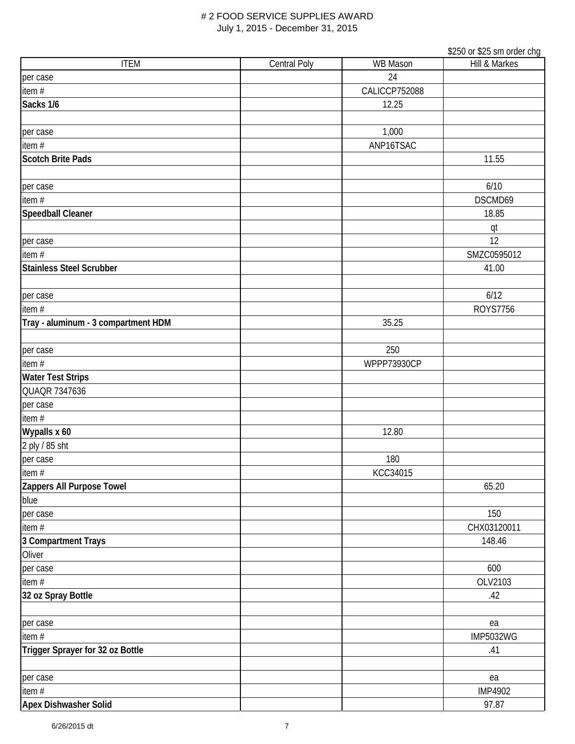|                                     |              |               | \$250 or \$25 sm order chg |
|-------------------------------------|--------------|---------------|----------------------------|
| <b>ITEM</b>                         | Central Poly | WB Mason      | Hill & Markes              |
| per case                            |              | 24            |                            |
| item #                              |              | CALICCP752088 |                            |
| Sacks 1/6                           |              | 12.25         |                            |
|                                     |              |               |                            |
| per case                            |              | 1,000         |                            |
| item#                               |              | ANP16TSAC     |                            |
| <b>Scotch Brite Pads</b>            |              |               | 11.55                      |
|                                     |              |               |                            |
| per case                            |              |               | 6/10                       |
| item#                               |              |               | DSCMD69                    |
| <b>Speedball Cleaner</b>            |              |               | 18.85                      |
|                                     |              |               | qt                         |
| per case                            |              |               | 12                         |
| item $#$                            |              |               | SMZC0595012                |
| <b>Stainless Steel Scrubber</b>     |              |               | 41.00                      |
|                                     |              |               |                            |
| per case                            |              |               | 6/12                       |
| item#                               |              |               | <b>ROYS7756</b>            |
| Tray - aluminum - 3 compartment HDM |              | 35.25         |                            |
|                                     |              |               |                            |
| per case                            |              | 250           |                            |
| item#                               |              | WPPP73930CP   |                            |
| <b>Water Test Strips</b>            |              |               |                            |
| QUAQR 7347636                       |              |               |                            |
| per case                            |              |               |                            |
| item#                               |              |               |                            |
| Wypalls x 60                        |              | 12.80         |                            |
| 2 ply / 85 sht                      |              |               |                            |
| per case                            |              | 180           |                            |
| item #                              |              | KCC34015      |                            |
| Zappers All Purpose Towel           |              |               | 65.20                      |
| blue                                |              |               |                            |
| per case                            |              |               | 150                        |
| item#                               |              |               | CHX03120011                |
| 3 Compartment Trays                 |              |               | 148.46                     |
| Oliver                              |              |               |                            |
| per case                            |              |               | 600                        |
| item $#$                            |              |               | OLV2103                    |
| 32 oz Spray Bottle                  |              |               | .42                        |
|                                     |              |               |                            |
| per case                            |              |               | ea                         |
| item#                               |              |               | <b>IMP5032WG</b>           |
| Trigger Sprayer for 32 oz Bottle    |              |               | .41                        |
|                                     |              |               |                            |
| per case                            |              |               | ea                         |
| item $#$                            |              |               | <b>IMP4902</b>             |
| Apex Dishwasher Solid               |              |               | 97.87                      |
|                                     |              |               |                            |